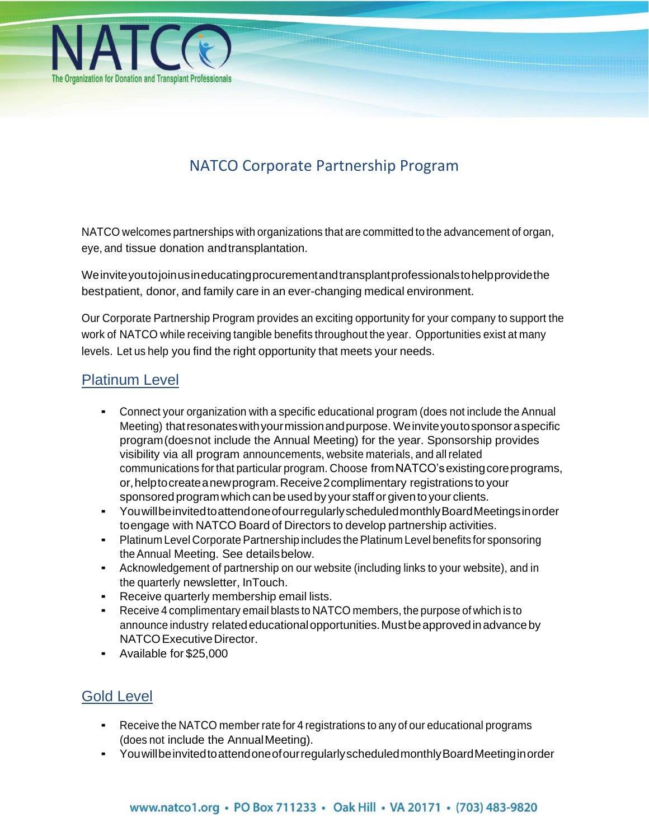

# NATCO Corporate Partnership Program

NATCO welcomes partnerships with organizations that are committed to the advancement of organ, eye, and tissue donation andtransplantation.

Weinviteyoutojoinusineducatingprocurementandtransplantprofessionalstohelpprovidethe bestpatient, donor, and family care in an ever-changing medical environment.

Our Corporate Partnership Program provides an exciting opportunity for your company to support the work of NATCO while receiving tangible benefits throughout the year. Opportunities exist at many levels. Let us help you find the right opportunity that meets your needs.

# Platinum Level

- Connect your organization with a specific educational program (does not include the Annual Meeting) thatresonateswithyourmissionandpurpose. Weinviteyoutosponsoraspecific program(doesnot include the Annual Meeting) for the year. Sponsorship provides visibility via all program announcements, website materials, and all related communications for that particular program. Choose fromNATCO'sexistingcoreprograms, or,helptocreateanewprogram.Receive2complimentary registrations to your sponsored program which can be used by your staff or given to your clients.
- YouwillbeinvitedtoattendoneofourregularlyscheduledmonthlyBoardMeetingsinorder toengage with NATCO Board of Directors to develop partnership activities.
- **Platinum Level Corporate Partnership includes the Platinum Level benefits for sponsoring** theAnnual Meeting. See detailsbelow.
- Acknowledgement of partnership on our website (including links to your website), and in the quarterly newsletter, InTouch.
- Receive quarterly membership email lists.
- Receive 4 complimentary email blasts to NATCO members, the purpose of which is to announce industry related educational opportunities. Must be approved in advance by NATCO Executive Director.
- Available for \$25,000

# Gold Level

- **EXEC** Receive the NATCO member rate for 4 registrations to any of our educational programs (does not include the AnnualMeeting).
- YouwillbeinvitedtoattendoneofourregularlyscheduledmonthlyBoardMeetinginorder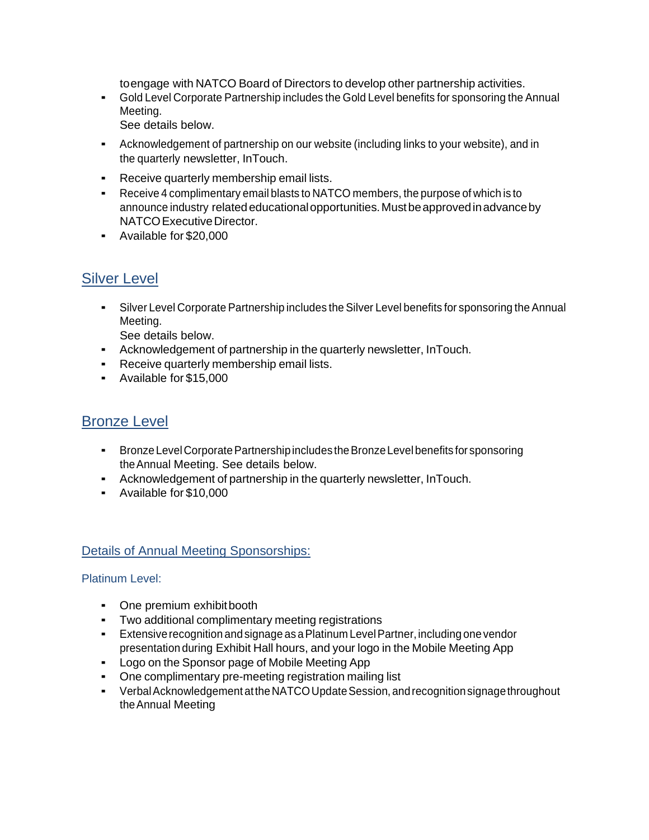toengage with NATCO Board of Directors to develop other partnership activities.

- Gold Level Corporate Partnership includes the Gold Level benefits for sponsoring the Annual Meeting.
	- See details below.
- Acknowledgement of partnership on our website (including links to your website), and in the quarterly newsletter, InTouch.
- Receive quarterly membership email lists.
- Receive 4 complimentary email blasts to NATCO members, the purpose of which is to announce industry related educational opportunities. Must be approved in advance by NATCO Executive Director.
- Available for \$20,000

# Silver Level

▪ Silver Level Corporate Partnership includes the Silver Level benefits for sponsoring the Annual Meeting.

See details below.

- Acknowledgement of partnership in the quarterly newsletter, InTouch.
- **•** Receive quarterly membership email lists.
- Available for \$15,000

## Bronze Level

- **•** Bronze Level Corporate Partnership includes the Bronze Level benefits for sponsoring theAnnual Meeting. See details below.
- Acknowledgement of partnership in the quarterly newsletter, InTouch.
- Available for \$10,000

### Details of Annual Meeting Sponsorships:

Platinum Level:

- One premium exhibitbooth
- Two additional complimentary meeting registrations
- **•** Extensive recognition and signage as a Platinum Level Partner, including one vendor presentation during Exhibit Hall hours, and your logo in the Mobile Meeting App
- Logo on the Sponsor page of Mobile Meeting App
- One complimentary pre-meeting registration mailing list
- Verbal Acknowledgement at the NATCO Update Session, and recognition signage throughout theAnnual Meeting